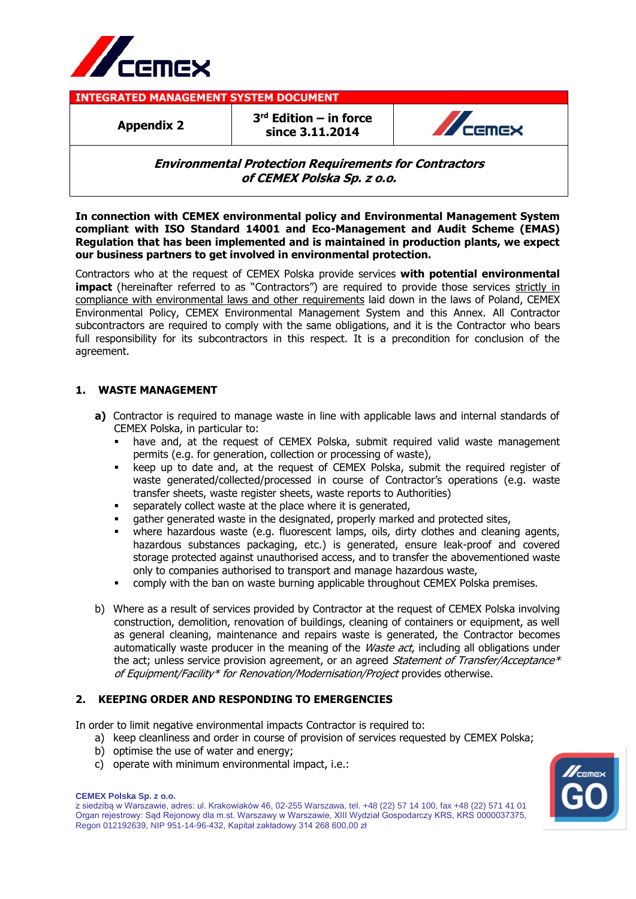

**INTEGRATED MANAGEMENT SYSTEM DOCUMENT**

**Appendix 2**

**3 rd Edition – in force since 3.11.2014**



# **Environmental Protection Requirements for Contractors of CEMEX Polska Sp. z o.o.**

**In connection with CEMEX environmental policy and Environmental Management System compliant with ISO Standard 14001 and Eco-Management and Audit Scheme (EMAS) Regulation that has been implemented and is maintained in production plants, we expect our business partners to get involved in environmental protection.**

Contractors who at the request of CEMEX Polska provide services **with potential environmental impact** (hereinafter referred to as "Contractors") are required to provide those services strictly in compliance with environmental laws and other requirements laid down in the laws of Poland, CEMEX Environmental Policy, CEMEX Environmental Management System and this Annex. All Contractor subcontractors are required to comply with the same obligations, and it is the Contractor who bears full responsibility for its subcontractors in this respect. It is a precondition for conclusion of the agreement.

# **1. WASTE MANAGEMENT**

- **a)** Contractor is required to manage waste in line with applicable laws and internal standards of CEMEX Polska, in particular to:
	- have and, at the request of CEMEX Polska, submit required valid waste management permits (e.g. for generation, collection or processing of waste),
	- keep up to date and, at the request of CEMEX Polska, submit the required register of waste generated/collected/processed in course of Contractor's operations (e.g. waste transfer sheets, waste register sheets, waste reports to Authorities)
	- separately collect waste at the place where it is generated,
	- gather generated waste in the designated, properly marked and protected sites,
	- where hazardous waste (e.g. fluorescent lamps, oils, dirty clothes and cleaning agents, hazardous substances packaging, etc.) is generated, ensure leak-proof and covered storage protected against unauthorised access, and to transfer the abovementioned waste only to companies authorised to transport and manage hazardous waste,
	- comply with the ban on waste burning applicable throughout CEMEX Polska premises.
- b) Where as a result of services provided by Contractor at the request of CEMEX Polska involving construction, demolition, renovation of buildings, cleaning of containers or equipment, as well as general cleaning, maintenance and repairs waste is generated, the Contractor becomes automatically waste producer in the meaning of the *Waste act*, including all obligations under the act; unless service provision agreement, or an agreed Statement of Transfer/Acceptance\* of Equipment/Facility\* for Renovation/Modernisation/Project provides otherwise.

### **2. KEEPING ORDER AND RESPONDING TO EMERGENCIES**

In order to limit negative environmental impacts Contractor is required to:

- a) keep cleanliness and order in course of provision of services requested by CEMEX Polska;
- b) optimise the use of water and energy;
- c) operate with minimum environmental impact, i.e.:



z siedzibą w Warszawie, adres: ul. Krakowiaków 46, 02-255 Warszawa, tel. +48 (22) 57 14 100, fax +48 (22) 571 41 01 Organ rejestrowy: Sąd Rejonowy dla m.st. Warszawy w Warszawie, XIII Wydział Gospodarczy KRS, KRS 0000037375, Regon 012192639, NIP 951-14-96-432, Kapitał zakładowy 314 268 600,00 zł

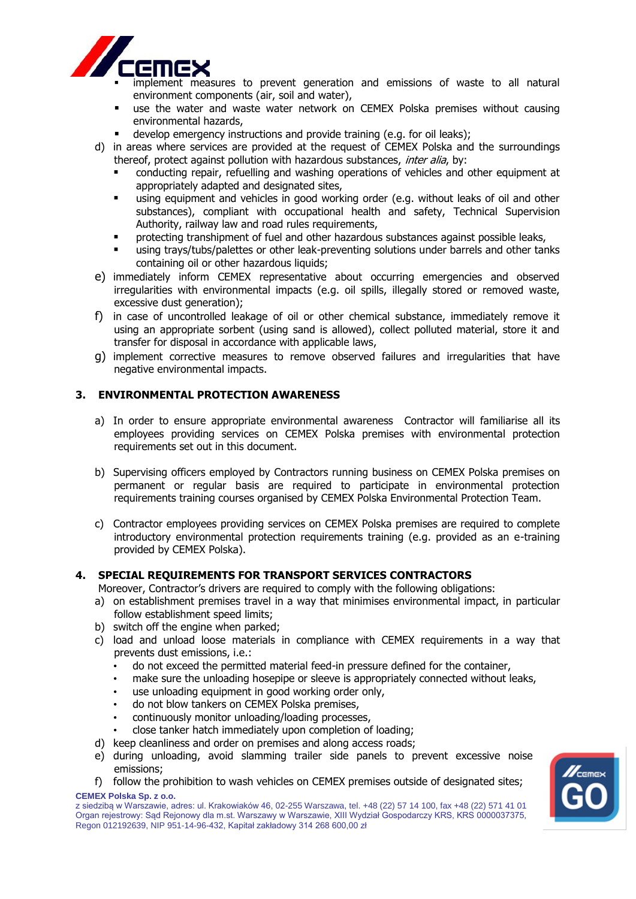

implement measures to prevent generation and emissions of waste to all natural environment components (air, soil and water),

- use the water and waste water network on CEMEX Polska premises without causing environmental hazards,
- develop emergency instructions and provide training (e.g. for oil leaks);
- d) in areas where services are provided at the request of CEMEX Polska and the surroundings thereof, protect against pollution with hazardous substances, inter alia, by:
	- conducting repair, refuelling and washing operations of vehicles and other equipment at appropriately adapted and designated sites,
	- using equipment and vehicles in good working order (e.g. without leaks of oil and other substances), compliant with occupational health and safety, Technical Supervision Authority, railway law and road rules requirements,
	- protecting transhipment of fuel and other hazardous substances against possible leaks,
	- using trays/tubs/palettes or other leak-preventing solutions under barrels and other tanks containing oil or other hazardous liquids;
- e) immediately inform CEMEX representative about occurring emergencies and observed irregularities with environmental impacts (e.g. oil spills, illegally stored or removed waste, excessive dust generation);
- f) in case of uncontrolled leakage of oil or other chemical substance, immediately remove it using an appropriate sorbent (using sand is allowed), collect polluted material, store it and transfer for disposal in accordance with applicable laws,
- g) implement corrective measures to remove observed failures and irregularities that have negative environmental impacts.

## **3. ENVIRONMENTAL PROTECTION AWARENESS**

- a) In order to ensure appropriate environmental awareness Contractor will familiarise all its employees providing services on CEMEX Polska premises with environmental protection requirements set out in this document.
- b) Supervising officers employed by Contractors running business on CEMEX Polska premises on permanent or regular basis are required to participate in environmental protection requirements training courses organised by CEMEX Polska Environmental Protection Team.
- c) Contractor employees providing services on CEMEX Polska premises are required to complete introductory environmental protection requirements training (e.g. provided as an e-training provided by CEMEX Polska).

### **4. SPECIAL REQUIREMENTS FOR TRANSPORT SERVICES CONTRACTORS**

Moreover, Contractor's drivers are required to comply with the following obligations:

- a) on establishment premises travel in a way that minimises environmental impact, in particular follow establishment speed limits;
- b) switch off the engine when parked;
- c) load and unload loose materials in compliance with CEMEX requirements in a way that prevents dust emissions, i.e.:
	- do not exceed the permitted material feed-in pressure defined for the container,
	- make sure the unloading hosepipe or sleeve is appropriately connected without leaks,
	- use unloading equipment in good working order only,
	- do not blow tankers on CEMEX Polska premises,
	- continuously monitor unloading/loading processes,
	- close tanker hatch immediately upon completion of loading;
- d) keep cleanliness and order on premises and along access roads;
- e) during unloading, avoid slamming trailer side panels to prevent excessive noise emissions;
- **CEMEX Polska Sp. z o.o.** f) follow the prohibition to wash vehicles on CEMEX premises outside of designated sites;

z siedzibą w Warszawie, adres: ul. Krakowiaków 46, 02-255 Warszawa, tel. +48 (22) 57 14 100, fax +48 (22) 571 41 01 Organ rejestrowy: Sąd Rejonowy dla m.st. Warszawy w Warszawie, XIII Wydział Gospodarczy KRS, KRS 0000037375, Regon 012192639, NIP 951-14-96-432, Kapitał zakładowy 314 268 600,00 zł